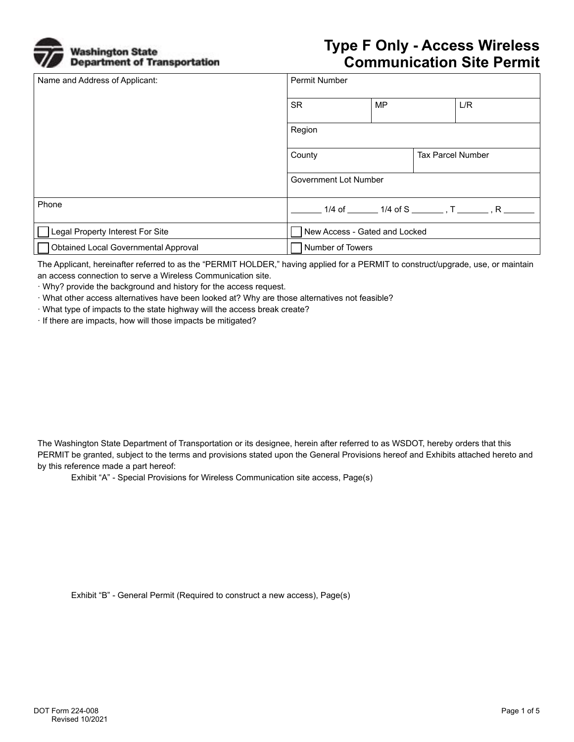

## **Type F Only - Access Wireless Communication Site Permit**

| Name and Address of Applicant:       | <b>Permit Number</b>          |           |                          |                                                         |
|--------------------------------------|-------------------------------|-----------|--------------------------|---------------------------------------------------------|
|                                      | <b>SR</b>                     | <b>MP</b> |                          | L/R                                                     |
|                                      | Region                        |           |                          |                                                         |
|                                      | County                        |           | <b>Tax Parcel Number</b> |                                                         |
|                                      | Government Lot Number         |           |                          |                                                         |
| Phone                                |                               |           |                          | 1/4 of ________ 1/4 of S ________ , T _______ , R _____ |
| Legal Property Interest For Site     | New Access - Gated and Locked |           |                          |                                                         |
| Obtained Local Governmental Approval | Number of Towers              |           |                          |                                                         |

The Applicant, hereinafter referred to as the "PERMIT HOLDER," having applied for a PERMIT to construct/upgrade, use, or maintain an access connection to serve a Wireless Communication site.

· Why? provide the background and history for the access request.

· What other access alternatives have been looked at? Why are those alternatives not feasible?

· What type of impacts to the state highway will the access break create?

· If there are impacts, how will those impacts be mitigated?

The Washington State Department of Transportation or its designee, herein after referred to as WSDOT, hereby orders that this PERMIT be granted, subject to the terms and provisions stated upon the General Provisions hereof and Exhibits attached hereto and by this reference made a part hereof:

Exhibit "A" - Special Provisions for Wireless Communication site access, Page(s)

Exhibit "B" - General Permit (Required to construct a new access), Page(s)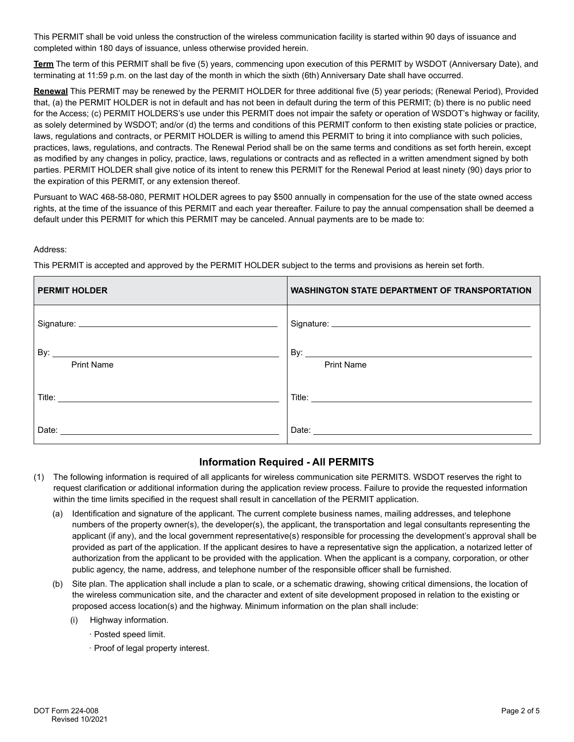This PERMIT shall be void unless the construction of the wireless communication facility is started within 90 days of issuance and completed within 180 days of issuance, unless otherwise provided herein.

**Term** The term of this PERMIT shall be five (5) years, commencing upon execution of this PERMIT by WSDOT (Anniversary Date), and terminating at 11:59 p.m. on the last day of the month in which the sixth (6th) Anniversary Date shall have occurred.

**Renewal** This PERMIT may be renewed by the PERMIT HOLDER for three additional five (5) year periods; (Renewal Period), Provided that, (a) the PERMIT HOLDER is not in default and has not been in default during the term of this PERMIT; (b) there is no public need for the Access; (c) PERMIT HOLDERS's use under this PERMIT does not impair the safety or operation of WSDOT's highway or facility, as solely determined by WSDOT; and/or (d) the terms and conditions of this PERMIT conform to then existing state policies or practice, laws, regulations and contracts, or PERMIT HOLDER is willing to amend this PERMIT to bring it into compliance with such policies, practices, laws, regulations, and contracts. The Renewal Period shall be on the same terms and conditions as set forth herein, except as modified by any changes in policy, practice, laws, regulations or contracts and as reflected in a written amendment signed by both parties. PERMIT HOLDER shall give notice of its intent to renew this PERMIT for the Renewal Period at least ninety (90) days prior to the expiration of this PERMIT, or any extension thereof.

Pursuant to WAC 468-58-080, PERMIT HOLDER agrees to pay \$500 annually in compensation for the use of the state owned access rights, at the time of the issuance of this PERMIT and each year thereafter. Failure to pay the annual compensation shall be deemed a default under this PERMIT for which this PERMIT may be canceled. Annual payments are to be made to:

## Address:

This PERMIT is accepted and approved by the PERMIT HOLDER subject to the terms and provisions as herein set forth.

| <b>PERMIT HOLDER</b> | <b>WASHINGTON STATE DEPARTMENT OF TRANSPORTATION</b> |
|----------------------|------------------------------------------------------|
|                      |                                                      |
| <b>Print Name</b>    | <b>Print Name</b>                                    |
|                      |                                                      |
| Date:                | Date:                                                |

## **Information Required - All PERMITS**

- (1) The following information is required of all applicants for wireless communication site PERMITS. WSDOT reserves the right to request clarification or additional information during the application review process. Failure to provide the requested information within the time limits specified in the request shall result in cancellation of the PERMIT application.
	- (a) Identification and signature of the applicant. The current complete business names, mailing addresses, and telephone numbers of the property owner(s), the developer(s), the applicant, the transportation and legal consultants representing the applicant (if any), and the local government representative(s) responsible for processing the development's approval shall be provided as part of the application. If the applicant desires to have a representative sign the application, a notarized letter of authorization from the applicant to be provided with the application. When the applicant is a company, corporation, or other public agency, the name, address, and telephone number of the responsible officer shall be furnished.
	- (b) Site plan. The application shall include a plan to scale, or a schematic drawing, showing critical dimensions, the location of the wireless communication site, and the character and extent of site development proposed in relation to the existing or proposed access location(s) and the highway. Minimum information on the plan shall include:
		- (i) Highway information.
			- · Posted speed limit.
			- · Proof of legal property interest.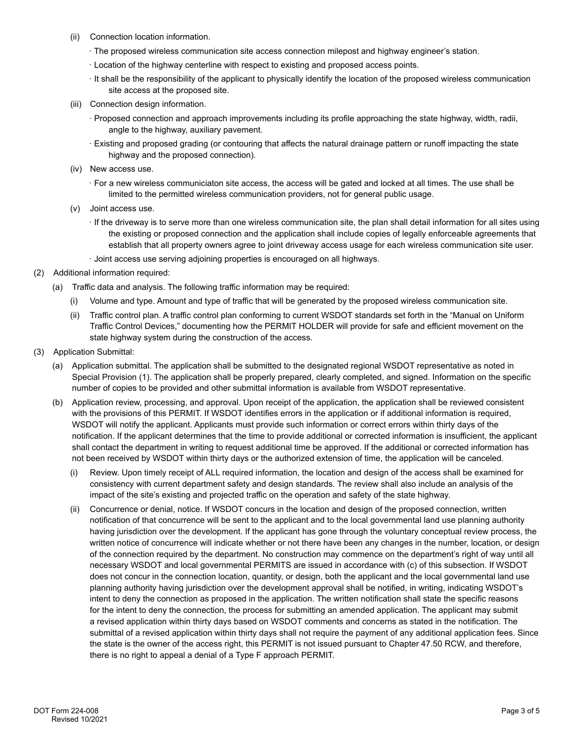- (ii) Connection location information.
	- · The proposed wireless communication site access connection milepost and highway engineer's station.
	- · Location of the highway centerline with respect to existing and proposed access points.
	- · It shall be the responsibility of the applicant to physically identify the location of the proposed wireless communication site access at the proposed site.
- (iii) Connection design information.
	- · Proposed connection and approach improvements including its profile approaching the state highway, width, radii, angle to the highway, auxiliary pavement.
	- · Existing and proposed grading (or contouring that affects the natural drainage pattern or runoff impacting the state highway and the proposed connection).
- (iv) New access use.
	- · For a new wireless communiciaton site access, the access will be gated and locked at all times. The use shall be limited to the permitted wireless communication providers, not for general public usage.
- (v) Joint access use.
	- · If the driveway is to serve more than one wireless communication site, the plan shall detail information for all sites using the existing or proposed connection and the application shall include copies of legally enforceable agreements that establish that all property owners agree to joint driveway access usage for each wireless communication site user.
	- · Joint access use serving adjoining properties is encouraged on all highways.
- (2) Additional information required:
	- (a) Traffic data and analysis. The following traffic information may be required:
		- (i) Volume and type. Amount and type of traffic that will be generated by the proposed wireless communication site.
		- (ii) Traffic control plan. A traffic control plan conforming to current WSDOT standards set forth in the "Manual on Uniform Traffic Control Devices," documenting how the PERMIT HOLDER will provide for safe and efficient movement on the state highway system during the construction of the access.
- (3) Application Submittal:
	- (a) Application submittal. The application shall be submitted to the designated regional WSDOT representative as noted in Special Provision (1). The application shall be properly prepared, clearly completed, and signed. Information on the specific number of copies to be provided and other submittal information is available from WSDOT representative.
	- (b) Application review, processing, and approval. Upon receipt of the application, the application shall be reviewed consistent with the provisions of this PERMIT. If WSDOT identifies errors in the application or if additional information is required, WSDOT will notify the applicant. Applicants must provide such information or correct errors within thirty days of the notification. If the applicant determines that the time to provide additional or corrected information is insufficient, the applicant shall contact the department in writing to request additional time be approved. If the additional or corrected information has not been received by WSDOT within thirty days or the authorized extension of time, the application will be canceled.
		- (i) Review. Upon timely receipt of ALL required information, the location and design of the access shall be examined for consistency with current department safety and design standards. The review shall also include an analysis of the impact of the site's existing and projected traffic on the operation and safety of the state highway.
		- (ii) Concurrence or denial, notice. If WSDOT concurs in the location and design of the proposed connection, written notification of that concurrence will be sent to the applicant and to the local governmental land use planning authority having jurisdiction over the development. If the applicant has gone through the voluntary conceptual review process, the written notice of concurrence will indicate whether or not there have been any changes in the number, location, or design of the connection required by the department. No construction may commence on the department's right of way until all necessary WSDOT and local governmental PERMITS are issued in accordance with (c) of this subsection. If WSDOT does not concur in the connection location, quantity, or design, both the applicant and the local governmental land use planning authority having jurisdiction over the development approval shall be notified, in writing, indicating WSDOT's intent to deny the connection as proposed in the application. The written notification shall state the specific reasons for the intent to deny the connection, the process for submitting an amended application. The applicant may submit a revised application within thirty days based on WSDOT comments and concerns as stated in the notification. The submittal of a revised application within thirty days shall not require the payment of any additional application fees. Since the state is the owner of the access right, this PERMIT is not issued pursuant to Chapter 47.50 RCW, and therefore, there is no right to appeal a denial of a Type F approach PERMIT.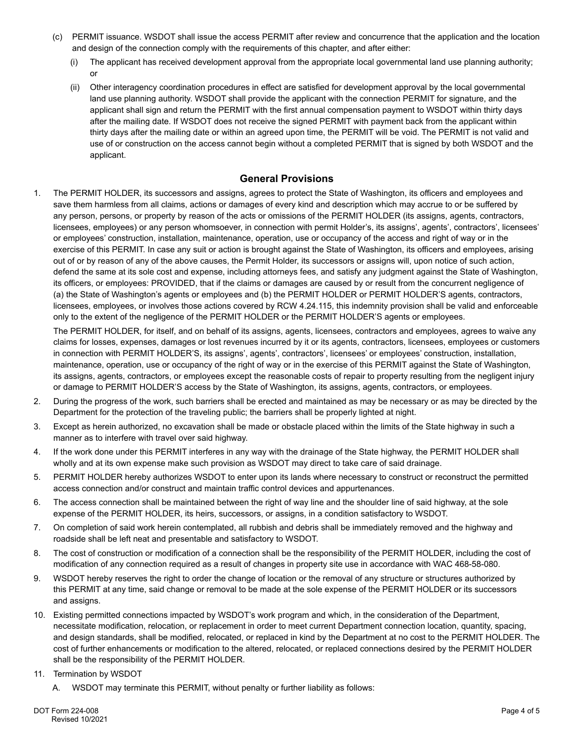- (c) PERMIT issuance. WSDOT shall issue the access PERMIT after review and concurrence that the application and the location and design of the connection comply with the requirements of this chapter, and after either:
	- (i) The applicant has received development approval from the appropriate local governmental land use planning authority; or
	- (ii) Other interagency coordination procedures in effect are satisfied for development approval by the local governmental land use planning authority. WSDOT shall provide the applicant with the connection PERMIT for signature, and the applicant shall sign and return the PERMIT with the first annual compensation payment to WSDOT within thirty days after the mailing date. If WSDOT does not receive the signed PERMIT with payment back from the applicant within thirty days after the mailing date or within an agreed upon time, the PERMIT will be void. The PERMIT is not valid and use of or construction on the access cannot begin without a completed PERMIT that is signed by both WSDOT and the applicant.

## **General Provisions**

1. The PERMIT HOLDER, its successors and assigns, agrees to protect the State of Washington, its officers and employees and save them harmless from all claims, actions or damages of every kind and description which may accrue to or be suffered by any person, persons, or property by reason of the acts or omissions of the PERMIT HOLDER (its assigns, agents, contractors, licensees, employees) or any person whomsoever, in connection with permit Holder's, its assigns', agents', contractors', licensees' or employees' construction, installation, maintenance, operation, use or occupancy of the access and right of way or in the exercise of this PERMIT. In case any suit or action is brought against the State of Washington, its officers and employees, arising out of or by reason of any of the above causes, the Permit Holder, its successors or assigns will, upon notice of such action, defend the same at its sole cost and expense, including attorneys fees, and satisfy any judgment against the State of Washington, its officers, or employees: PROVIDED, that if the claims or damages are caused by or result from the concurrent negligence of (a) the State of Washington's agents or employees and (b) the PERMIT HOLDER or PERMIT HOLDER'S agents, contractors, licensees, employees, or involves those actions covered by RCW 4.24.115, this indemnity provision shall be valid and enforceable only to the extent of the negligence of the PERMIT HOLDER or the PERMIT HOLDER'S agents or employees.

The PERMIT HOLDER, for itself, and on behalf of its assigns, agents, licensees, contractors and employees, agrees to waive any claims for losses, expenses, damages or lost revenues incurred by it or its agents, contractors, licensees, employees or customers in connection with PERMIT HOLDER'S, its assigns', agents', contractors', licensees' or employees' construction, installation, maintenance, operation, use or occupancy of the right of way or in the exercise of this PERMIT against the State of Washington, its assigns, agents, contractors, or employees except the reasonable costs of repair to property resulting from the negligent injury or damage to PERMIT HOLDER'S access by the State of Washington, its assigns, agents, contractors, or employees.

- 2. During the progress of the work, such barriers shall be erected and maintained as may be necessary or as may be directed by the Department for the protection of the traveling public; the barriers shall be properly lighted at night.
- 3. Except as herein authorized, no excavation shall be made or obstacle placed within the limits of the State highway in such a manner as to interfere with travel over said highway.
- 4. If the work done under this PERMIT interferes in any way with the drainage of the State highway, the PERMIT HOLDER shall wholly and at its own expense make such provision as WSDOT may direct to take care of said drainage.
- 5. PERMIT HOLDER hereby authorizes WSDOT to enter upon its lands where necessary to construct or reconstruct the permitted access connection and/or construct and maintain traffic control devices and appurtenances.
- 6. The access connection shall be maintained between the right of way line and the shoulder line of said highway, at the sole expense of the PERMIT HOLDER, its heirs, successors, or assigns, in a condition satisfactory to WSDOT.
- 7. On completion of said work herein contemplated, all rubbish and debris shall be immediately removed and the highway and roadside shall be left neat and presentable and satisfactory to WSDOT.
- 8. The cost of construction or modification of a connection shall be the responsibility of the PERMIT HOLDER, including the cost of modification of any connection required as a result of changes in property site use in accordance with WAC 468-58-080.
- 9. WSDOT hereby reserves the right to order the change of location or the removal of any structure or structures authorized by this PERMIT at any time, said change or removal to be made at the sole expense of the PERMIT HOLDER or its successors and assigns.
- 10. Existing permitted connections impacted by WSDOT's work program and which, in the consideration of the Department, necessitate modification, relocation, or replacement in order to meet current Department connection location, quantity, spacing, and design standards, shall be modified, relocated, or replaced in kind by the Department at no cost to the PERMIT HOLDER. The cost of further enhancements or modification to the altered, relocated, or replaced connections desired by the PERMIT HOLDER shall be the responsibility of the PERMIT HOLDER.
- 11. Termination by WSDOT
	- A. WSDOT may terminate this PERMIT, without penalty or further liability as follows: